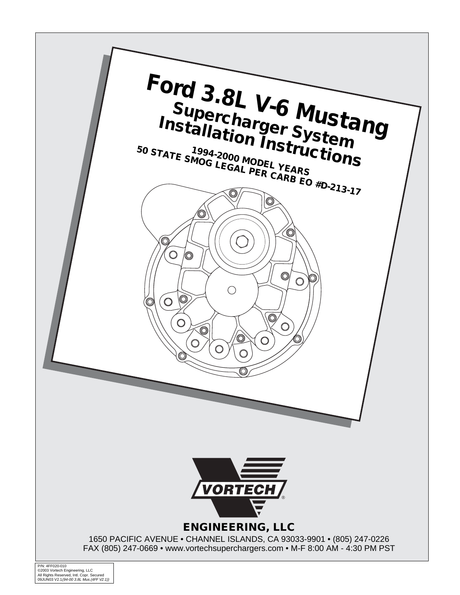

©2003 Vortech Engineering, LLC<br>All Rights Reserved, Intl. Copr. Secured<br>09JUN03 V2.1*(94-00 3.8L Mus.(4FF V2.1))*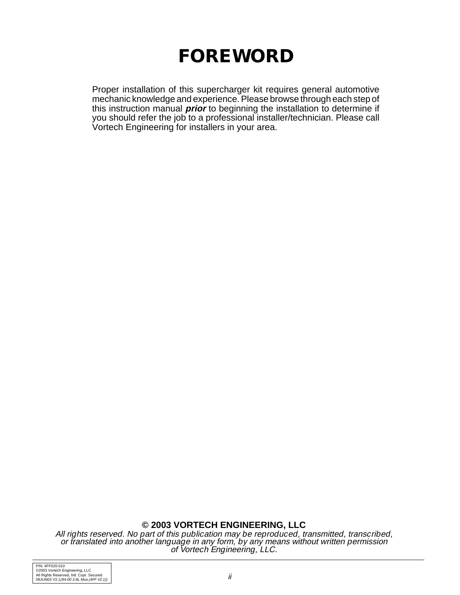# **FOREWORD**

Proper installation of this supercharger kit requires general automotive mechanic knowledge and experience. Please browse through each step of this instruction manual **prior** to beginning the installation to determine if you should refer the job to a professional installer/technician. Please call Vortech Engineering for installers in your area.

# **© 2003 VORTECH ENGINEERING, LLC**

All rights reserved. No part of this publication may be reproduced, transmitted, transcribed, or translated into another language in any form, by any means without written permission of Vortech Engineering, LLC.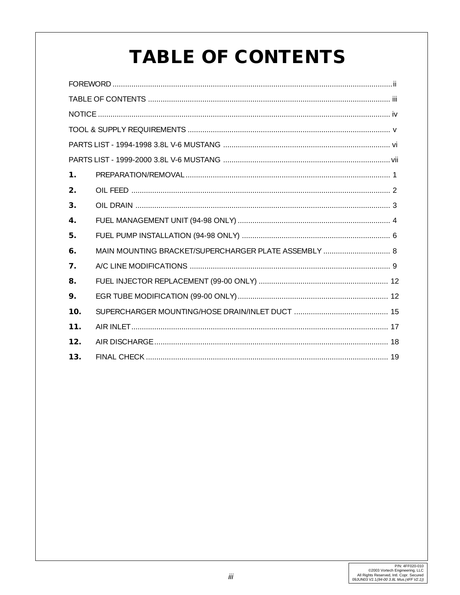# **TABLE OF CONTENTS**

| $\mathbf{1}$ . |                                                      |  |  |  |  |  |
|----------------|------------------------------------------------------|--|--|--|--|--|
| 2.             |                                                      |  |  |  |  |  |
| 3.             |                                                      |  |  |  |  |  |
| 4.             |                                                      |  |  |  |  |  |
| 5.             |                                                      |  |  |  |  |  |
| 6.             | MAIN MOUNTING BRACKET/SUPERCHARGER PLATE ASSEMBLY  8 |  |  |  |  |  |
| 7.             |                                                      |  |  |  |  |  |
| 8.             |                                                      |  |  |  |  |  |
| 9.             |                                                      |  |  |  |  |  |
| 10.            |                                                      |  |  |  |  |  |
| 11.            |                                                      |  |  |  |  |  |
| 12.            |                                                      |  |  |  |  |  |
| 13.            |                                                      |  |  |  |  |  |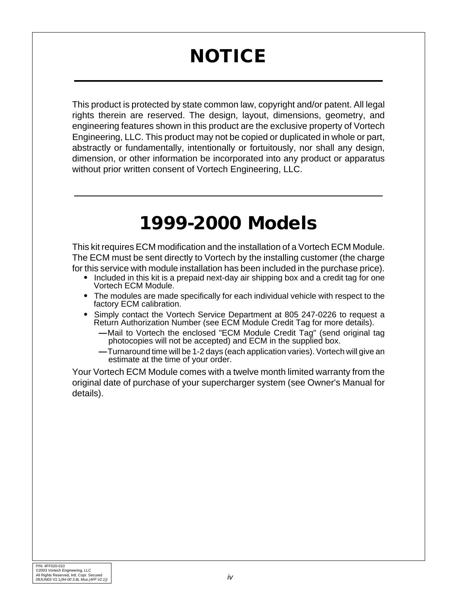# **NOTICE**

This product is protected by state common law, copyright and/or patent. All legal rights therein are reserved. The design, layout, dimensions, geometry, and engineering features shown in this product are the exclusive property of Vortech Engineering, LLC. This product may not be copied or duplicated in whole or part, abstractly or fundamentally, intentionally or fortuitously, nor shall any design, dimension, or other information be incorporated into any product or apparatus without prior written consent of Vortech Engineering, LLC.

# **1999-2000 Models**

This kit requires ECM modification and the installation of a Vortech ECM Module. The ECM must be sent directly to Vortech by the installing customer (the charge for this service with module installation has been included in the purchase price).

- **•** Included in this kit is a prepaid next-day air shipping box and a credit tag for one Vortech ECM Module.
- **•** The modules are made specifically for each individual vehicle with respect to the factory ECM calibration.
- **•** Simply contact the Vortech Service Department at 805 247-0226 to request a Return Authorization Number (see ECM Module Credit Tag for more details).
	- **—**Mail to Vortech the enclosed "ECM Module Credit Tag" (send original tag photocopies will not be accepted) and ECM in the supplied box.
	- **—**Turnaround time will be 1-2 days (each application varies). Vortech will give an estimate at the time of your order.

Your Vortech ECM Module comes with a twelve month limited warranty from the original date of purchase of your supercharger system (see Owner's Manual for details).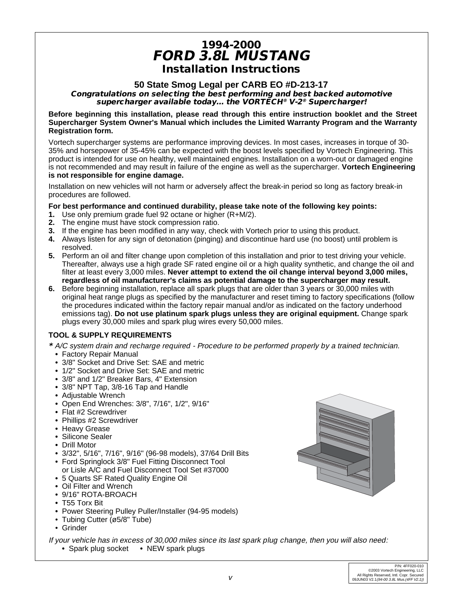# **1994-2000 FORD 3.8L MUSTANG Installation Instructions**

#### **Congratulations on selecting the best performing and best backed automotive supercharger available today... the VORTECH® V-2® Supercharger! 50 State Smog Legal per CARB EO #D-213-17**

**Before beginning this installation, please read through this entire instruction booklet and the Street Supercharger System Owner's Manual which includes the Limited Warranty Program and the Warranty Registration form.**

Vortech supercharger systems are performance improving devices. In most cases, increases in torque of 30- 35% and horsepower of 35-45% can be expected with the boost levels specified by Vortech Engineering. This product is intended for use on healthy, well maintained engines. Installation on a worn-out or damaged engine is not recommended and may result in failure of the engine as well as the supercharger. **Vortech Engineering is not responsible for engine damage.**

Installation on new vehicles will not harm or adversely affect the break-in period so long as factory break-in procedures are followed.

#### **For best performance and continued durability, please take note of the following key points:**

- **1.** Use only premium grade fuel 92 octane or higher (R+M/2).
- **2.** The engine must have stock compression ratio.
- **3.** If the engine has been modified in any way, check with Vortech prior to using this product.<br>**4.** Always listen for any sign of detonation (pinging) and discontinue hard use (no boost) until
- **4.** Always listen for any sign of detonation (pinging) and discontinue hard use (no boost) until problem is resolved.
- **5.** Perform an oil and filter change upon completion of this installation and prior to test driving your vehicle. Thereafter, always use a high grade SF rated engine oil or a high quality synthetic, and change the oil and filter at least every 3,000 miles. **Never attempt to extend the oil change interval beyond 3,000 miles, regardless of oil manufacturer's claims as potential damage to the supercharger may result.**
- **6.** Before beginning installation, replace all spark plugs that are older than 3 years or 30,000 miles with original heat range plugs as specified by the manufacturer and reset timing to factory specifications (follow the procedures indicated within the factory repair manual and/or as indicated on the factory underhood emissions tag). **Do not use platinum spark plugs unless they are original equipment.** Change spark plugs every 30,000 miles and spark plug wires every 50,000 miles.

### **TOOL & SUPPLY REQUIREMENTS**

- **\*** A/C system drain and recharge required Procedure to be performed properly by a trained technician. **•** Factory Repair Manual
	- **•** 3/8" Socket and Drive Set: SAE and metric
	- **•** 1/2" Socket and Drive Set: SAE and metric
	- **•** 3/8" and 1/2" Breaker Bars, 4" Extension
	- **•** 3/8" NPT Tap, 3/8-16 Tap and Handle
	- **•** Adjustable Wrench
	- **•** Open End Wrenches: 3/8", 7/16", 1/2", 9/16"
	- **•** Flat #2 Screwdriver
	- **•** Phillips #2 Screwdriver
	- **•** Heavy Grease
	- **•** Silicone Sealer
	- **•** Drill Motor
	- **•** 3/32", 5/16", 7/16", 9/16" (96-98 models), 37/64 Drill Bits
	- **•** Ford Springlock 3/8" Fuel Fitting Disconnect Tool or Lisle A/C and Fuel Disconnect Tool Set #37000
	- **•** 5 Quarts SF Rated Quality Engine Oil
	- **•** Oil Filter and Wrench
	- **•** 9/16" ROTA-BROACH
	- **•** T55 Torx Bit
	- **•** Power Steering Pulley Puller/Installer (94-95 models)
	- Tubing Cutter (ø5/8" Tube)
	- Grinder

If your vehicle has in excess of 30,000 miles since its last spark plug change, then you will also need:

**•** Spark plug socket **•** NEW spark plugs

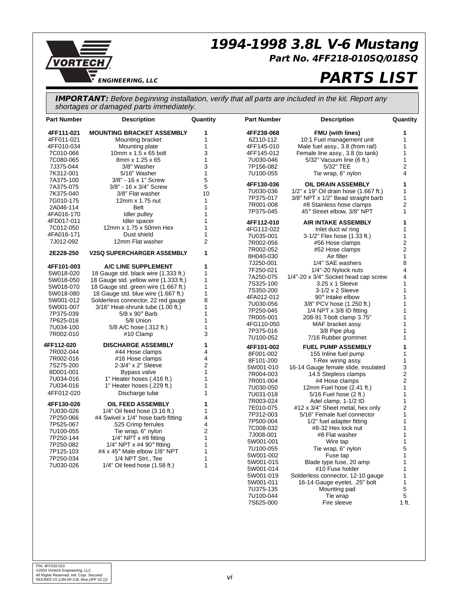

# **1994-1998 3.8L V-6 Mustang**

**Part No. 4FF218-010SQ/018SQ**

7U100-044 Tie wrap 5<br>7S625-000 Tire sleeve 5 1 ft.

# **PARTS LIST**

**IMPORTANT:** Before beginning installation, verify that all parts are included in the kit. Report any shortages or damaged parts immediately.

| <b>Part Number</b> | <b>Description</b>                    | Quantity       | <b>Part Number</b> | <b>Description</b>                    | Quantity                |
|--------------------|---------------------------------------|----------------|--------------------|---------------------------------------|-------------------------|
| 4FF111-021         | <b>MOUNTING BRACKET ASSEMBLY</b>      | 1              | 4FF238-068         | <b>FMU (with lines)</b>               | 1                       |
| 4FF011-021         | Mounting bracket                      | 1              | 6Z110-112          | 10:1 Fuel management unit             | 1                       |
| 4FF010-034         | Mounting plate                        | $\mathbf{1}$   | 4FF145-010         | Male fuel assy., 3.8 (from rail)      | 1                       |
| 7C010-066          | 10mm x 1.5 x 65 bolt                  | 3              | 4FF145-012         | Female line assy., 3.8 (to tank)      | 1                       |
| 7C080-065          | 8mm x 1.25 x 65                       | 1              | 7U030-046          | 5/32" Vacuum line (6 ft.)             | 1                       |
| 7J375-044          | 3/8" Washer                           | 3              | 7P156-082          | 5/32" TEE                             | 2                       |
| 7K312-001          | 5/16" Washer                          | $\mathbf{1}$   | 7U100-055          |                                       | 4                       |
|                    |                                       |                |                    | Tie wrap, 6" nylon                    |                         |
| 7A375-100          | 3/8" - 16 x 1" Screw                  | 5              | 4FF130-036         | OIL DRAIN ASSEMBLY                    | 1                       |
| 7A375-075          | 3/8" - 16 x 3/4" Screw                | 5              | 7U030-036          | 1/2" x 19" Oil drain hose (1.667 ft.) | 1                       |
| 7K375-040          | 3/8" Flat washer                      | 10             | 7P375-017          | 3/8" NPT x 1/2" Bead straight barb    | 1                       |
| 7G010-175          | 12mm x 1.75 nut                       | $\mathbf{1}$   | 7R001-008          | #8 Stainless hose clamps              | $\overline{c}$          |
| 2A046-114          | <b>Belt</b>                           | $\mathbf{1}$   | 7P375-045          | 45° Street elbow, 3/8" NPT            | $\mathbf{1}$            |
| 4FA016-170         | Idler pulley                          | 1              |                    |                                       |                         |
| 4FD017-011         | Idler spacer                          | 1              | 4FF112-010         | <b>AIR INTAKE ASSEMBLY</b>            | 1                       |
| 7C012-050          | 12mm x 1.75 x 50mm Hex                | $\mathbf{1}$   | 4FG112-022         | Inlet duct w/ ring                    | 1                       |
| 4FA016-171         | Dust shield                           | $\mathbf{1}$   | 7U035-001          | 3-1/2" Flex hose (1.33 ft.)           | 1                       |
| 7J012-092          | 12mm Flat washer                      | $\overline{2}$ | 7R002-056          | #56 Hose clamps                       | 2                       |
|                    |                                       |                | 7R002-052          | #52 Hose clamps                       | $\overline{c}$          |
| 2E228-250          | <b>V2SQ SUPERCHARGER ASSEMBLY</b>     | 1              | 8H040-030          | Air filter                            | 1                       |
|                    |                                       |                | 7J250-001          | 1/4" SAE washers                      | 8                       |
| 4FF101-003         | A/C LINE SUPPLEMENT                   | 1              |                    |                                       |                         |
| 5W018-020          | 18 Gauge std. black wire (1.333 ft.)  | 1              | 7F250-021          | 1/4"-20 Nylock nuts                   | 4                       |
| 5W018-050          | 18 Gauge std. yellow wire (1.333 ft.) | 1              | 7A250-075          | 1/4"-20 x 3/4" Socket head cap screw  | 4                       |
| 5W018-070          | 18 Gauge std. green wire (1.667 ft.)  | $\mathbf{1}$   | 7S325-100          | 3.25 x 1 Sleeve                       | 1                       |
| 5W018-080          | 18 Gauge std. blue wire (1.667 ft.)   | $\mathbf{1}$   | 7S350-200          | $3-1/2 \times 2$ Sleeve               | $\mathbf{1}$            |
| 5W001-012          | Solderless connector, 22 red gauge    | 8              | 4FA012-012         | 90° Intake elbow                      | 1                       |
| 5W001-007          | 3/16" Heat-shrunk tube (1.00 ft.)     | $\mathbf{1}$   | 7U030-056          | 3/8" PCV hose (1.250 ft.)             | 1                       |
| 7P375-039          | $5/8 \times 90^\circ$ Barb            | 1              | 7P250-045          | 1/4 NPT x 3/8 ID fitting              | 1                       |
|                    | 5/8 Union                             | 1              | 7R005-001          | 208-91 T-bolt clamp 3.75"             | 1                       |
| 7P625-016          |                                       |                | 4FG110-050         | MAF bracket assy.                     | 1                       |
| 7U034-100          | 5/8 A/C hose (.312 ft.)               | 1              | 7P375-016          | 3/8 Pipe plug                         | $\mathbf{1}$            |
| 7R002-010          | #10 Clamp                             | 3              | 7U100-052          | 7/16 Rubber grommet                   | 1                       |
| 4FF112-020         | <b>DISCHARGE ASSEMBLY</b>             | 1              |                    |                                       |                         |
| 7R002-044          | #44 Hose clamps                       | 4              | 4FF101-002         | <b>FUEL PUMP ASSEMBLY</b>             | 1                       |
| 7R002-016          | #16 Hose clamps                       | 4              | 8F001-002          | 155 Inline fuel pump                  | $\mathbf{1}$            |
|                    |                                       | 2              | 8F101-200          | T-Rex wiring assy.                    | 1                       |
| 7S275-200          | 2-3/4" x 2" Sleeve                    |                | 5W001-010          | 16-14 Gauge female slide, insulated   | 3                       |
| 8D001-001          | Bypass valve                          | $\mathbf{1}$   | 7R004-003          | 14.5 Stepless clamps                  | $\overline{\mathbf{c}}$ |
| 7U034-016          | 1" Heater hoses (.416 ft.)            | 1              | 7R001-004          | #4 Hose clamps                        | $\overline{c}$          |
| 7U034-016          | 1" Heater hoses (.229 ft.)            | 1              | 7U030-050          | 12mm Fuel hose (2.41 ft.)             | $\mathbf{1}$            |
| 4FF012-020         | Discharge tube                        | $\mathbf{1}$   | 7U031-018          | 5/16 Fuel hose (2 ft.)                | 1                       |
|                    |                                       |                | 7R003-024          | Adel clamp, 1-1/2 ID                  | 1                       |
| 4FF130-026         | <b>OIL FEED ASSEMBLY</b>              | 1              | 7E010-075          | #12 x 3/4" Sheet metal, hex only      | $\overline{2}$          |
| 7U030-026          | 1/4" Oil feed hose (3.16 ft.)         | $\mathbf{1}$   | 7P312-003          | 5/16" Female fuel connector           | 1                       |
| 7P250-066          | #4 Swivel x 1/4" hose barb fitting    | 4              | 7P500-004          | 1/2" fuel adapter fitting             | 1                       |
| 7P525-067          | .525 Crimp ferrules                   | 4              | 7C008-032          | #8-32 Hex lock nut                    | $\mathbf{1}$            |
| 7U100-055          | Tie wrap, 6" nylon                    | $\overline{c}$ | 7J008-001          | #8 Flat washer                        | 1                       |
| 7P250-144          | 1/4" NPT $\times$ #8 fitting          | 1              |                    |                                       | 1                       |
| 7P250-082          | 1/4" NPT x #4 90° fitting             | 1              | 5W001-001          | Wire tap                              | 5                       |
| 7P125-103          | #4 x 45° Male elbow 1/8" NPT          | $\mathbf{1}$   | 7U100-055          | Tie wrap, 6" nylon                    |                         |
| 7P250-034          | 1/4 NPT Strt., Tee                    | 1              | 5W001-002          | Fuse tap                              | 1                       |
| 7U030-026          | 1/4" Oil feed hose (1.58 ft.)         | 1              | 5W001-015          | Blade type fuse, 20 amp               | 1                       |
|                    |                                       |                | 5W001-014          | #10 Fuse holder                       | 1                       |
|                    |                                       |                | 5W001-019          | Solderless connector, 12-10 gauge     | 1                       |
|                    |                                       |                | 5W001-011          | 16-14 Gauge eyelet, .25" bolt         | 1                       |
|                    |                                       |                | 7U375-135          | Mounting pad                          | 5                       |
|                    |                                       |                | 7U100-044          | Tie wrap                              | 5                       |

7S625-000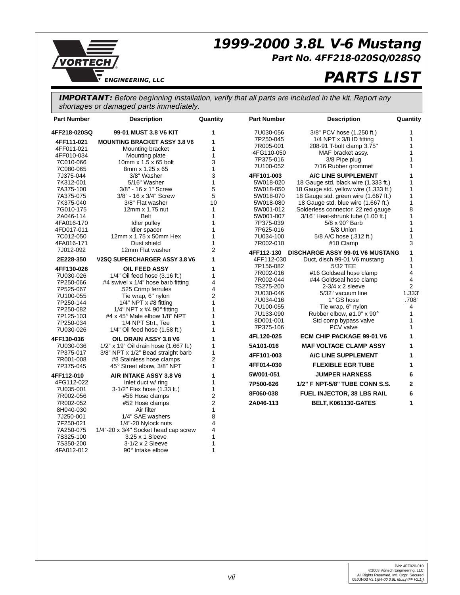

# **1999-2000 3.8L V-6 Mustang**

**Part No. 4FF218-020SQ/028SQ**

# **PARTS LIST**

**ENGINEERING, LLC** 

#### **IMPORTANT:** Before beginning installation, verify that all parts are included in the kit. Report any shortages or damaged parts immediately.

| <b>Part Number</b>     | <b>Description</b>                                        | Quantity       | <b>Part Number</b> | <b>Description</b>                     | Quantity     |
|------------------------|-----------------------------------------------------------|----------------|--------------------|----------------------------------------|--------------|
| 4FF218-020SQ           | 99-01 MUST 3.8 V6 KIT                                     |                | 7U030-056          | 3/8" PCV hose (1.250 ft.)              | 1            |
| 4FF111-021             | <b>MOUNTING BRACKET ASSY 3.8 V6</b>                       | 1              | 7P250-045          | 1/4 NPT x 3/8 ID fitting               |              |
| 4FF011-021             | Mounting bracket                                          | 1              | 7R005-001          | 208-91 T-bolt clamp 3.75"              | 1            |
| 4FF010-034             | Mounting plate                                            | 1              | 4FG110-050         | MAF bracket assy.                      | 1            |
| 7C010-066              | 10mm x 1.5 x 65 bolt                                      | 3              | 7P375-016          | 3/8 Pipe plug                          | 1            |
| 7C080-065              | 8mm x 1.25 x 65                                           | 1              | 7U100-052          | 7/16 Rubber grommet                    | 1            |
| 7J375-044              | 3/8" Washer                                               | 3              | 4FF101-003         | A/C LINE SUPPLEMENT                    | 1            |
| 7K312-001              | 5/16" Washer                                              | 1              | 5W018-020          | 18 Gauge std. black wire (1.333 ft.)   | 1            |
| 7A375-100              | 3/8" - 16 x 1" Screw                                      | 5              | 5W018-050          | 18 Gauge std. yellow wire (1.333 ft.)  | 1            |
| 7A375-075              | 3/8" - 16 x 3/4" Screw                                    | 5              | 5W018-070          | 18 Gauge std. green wire (1.667 ft.)   | 1            |
| 7K375-040              | 3/8" Flat washer                                          | 10             | 5W018-080          | 18 Gauge std. blue wire (1.667 ft.)    | $\mathbf{1}$ |
| 7G010-175              | 12mm x 1.75 nut                                           | 1              | 5W001-012          | Solderless connector, 22 red gauge     | 8            |
| 2A046-114              | <b>Belt</b>                                               | 1              | 5W001-007          | 3/16" Heat-shrunk tube (1.00 ft.)      | 1            |
| 4FA016-170             | Idler pulley                                              | 1              | 7P375-039          | $5/8 \times 90^\circ$ Barb             | 1            |
| 4FD017-011             | Idler spacer                                              | 1              | 7P625-016          | 5/8 Union                              | 1            |
| 7C012-050              | 12mm x 1.75 x 50mm Hex                                    | 1              | 7U034-100          | 5/8 A/C hose (.312 ft.)                | 1            |
| 4FA016-171             | Dust shield                                               | 1              | 7R002-010          | #10 Clamp                              | 3            |
| 7J012-092              | 12mm Flat washer                                          | $\overline{2}$ | 4FF112-130         | <b>DISCHARGE ASSY 99-01 V6 MUSTANG</b> | 1            |
| 2E228-350              | V2SQ SUPERCHARGER ASSY 3.8 V6                             | 1              | 4FF112-030         | Duct, disch 99-01 V6 mustang           | 1            |
|                        |                                                           | 1              | 7P156-082          | 5/32 TEE                               | 1            |
| 4FF130-026             | <b>OIL FEED ASSY</b>                                      | 1              | 7R002-016          | #16 Goldseal hose clamp                | 4            |
| 7U030-026              | 1/4" Oil feed hose (3.16 ft.)                             | 4              | 7R002-044          | #44 Goldseal hose clamp                | 4            |
| 7P250-066<br>7P525-067 | #4 swivel x 1/4" hose barb fitting<br>.525 Crimp ferrules | 4              | 7S275-200          | $2-3/4 \times 2$ sleeve                | 2            |
| 7U100-055              | Tie wrap, 6" nylon                                        | $\overline{2}$ | 7U030-046          | 5/32" vacuum line                      | 1.333        |
| 7P250-144              | 1/4" NPT $x$ #8 fitting                                   | 1              | 7U034-016          | 1" GS hose                             | .708'        |
| 7P250-082              | 1/4" NPT $\times$ #4 90 $^{\circ}$ fitting                | 1              | 7U100-055          | Tie wrap, 6" nylon                     | 4            |
| 7P125-103              | #4 x 45° Male elbow 1/8" NPT                              | 1              | 7U133-090          | Rubber elbow, ø1.0" x 90°              | 1            |
| 7P250-034              | 1/4 NPT Strt., Tee                                        | 1              | 8D001-001          | Std comp bypass valve                  | 1            |
| 7U030-026              | 1/4" Oil feed hose (1.58 ft.)                             | 1              | 7P375-106          | PCV valve                              | 1            |
| 4FF130-036             | OIL DRAIN ASSY 3.8 V6                                     | 1              | 4FL120-025         | <b>ECM CHIP PACKAGE 99-01 V6</b>       | 1            |
| 7U030-036              | 1/2" x 19" Oil drain hose (1.667 ft.)                     | 1              | 5A101-016          | <b>MAF VOLTAGE CLAMP ASSY</b>          | 1            |
| 7P375-017              | 3/8" NPT x 1/2" Bead straight barb                        | 1              | 4FF101-003         | A/C LINE SUPPLEMENT                    | 1            |
| 7R001-008              | #8 Stainless hose clamps                                  | $\overline{2}$ | 4FF014-030         | <b>FLEXIBLE EGR TUBE</b>               | 1            |
| 7P375-045              | 45° Street elbow, 3/8" NPT                                | 1              |                    |                                        |              |
| 4FF112-010             | AIR INTAKE ASSY 3.8 V6                                    | 1              | 5W001-051          | <b>JUMPER HARNESS</b>                  | 6            |
| 4FG112-022             | Inlet duct w/ ring                                        | 1              | 7P500-626          | 1/2" F NPT-5/8" TUBE CONN S.S.         | $\mathbf{2}$ |
| 7U035-001              | 3-1/2" Flex hose (1.33 ft.)                               | 1              | 8F060-038          | FUEL INJECTOR, 38 LBS RAIL             | 6            |
| 7R002-056              | #56 Hose clamps                                           | $\overline{2}$ |                    |                                        |              |
| 7R002-052              | #52 Hose clamps                                           | $\overline{2}$ | 2A046-113          | BELT, K061130-GATES                    | 1            |
| 8H040-030              | Air filter                                                | 1              |                    |                                        |              |
| 7J250-001              | 1/4" SAE washers                                          | 8              |                    |                                        |              |
| 7F250-021              | 1/4"-20 Nylock nuts                                       | 4              |                    |                                        |              |
| 7A250-075              | 1/4"-20 x 3/4" Socket head cap screw                      | 4              |                    |                                        |              |
| 7S325-100              | 3.25 x 1 Sleeve                                           | 1              |                    |                                        |              |
| 7S350-200              | 3-1/2 x 2 Sleeve                                          | 1<br>1         |                    |                                        |              |
| 4FA012-012             | 90° Intake elbow                                          |                |                    |                                        |              |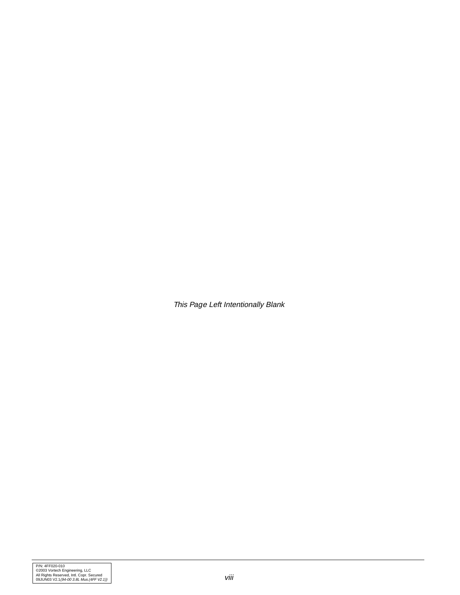This Page Left Intentionally Blank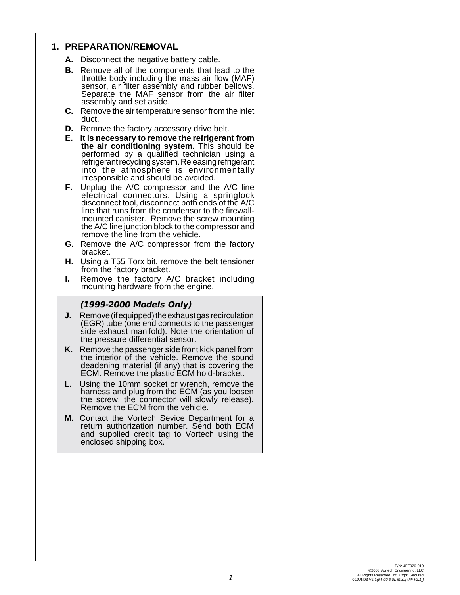# **1. PREPARATION/REMOVAL**

- **A.** Disconnect the negative battery cable.
- **B.** Remove all of the components that lead to the throttle body including the mass air flow (MAF) sensor, air filter assembly and rubber bellows. Separate the MAF sensor from the air filter assembly and set aside.
- **C.** Remove the air temperature sensor from the inlet duct.
- **D.** Remove the factory accessory drive belt.
- **E. It is necessary to remove the refrigerant from the air conditioning system.** This should be performed by a qualified technician using a refrigerant recycling system. Releasing refrigerant into the atmosphere is environmentally irresponsible and should be avoided.
- **F.** Unplug the A/C compressor and the A/C line electrical connectors. Using a springlock disconnect tool, disconnect both ends of the A/C line that runs from the condensor to the firewallmounted canister. Remove the screw mounting the A/C line junction block to the compressor and remove the line from the vehicle.
- **G.** Remove the A/C compressor from the factory bracket.
- **H.** Using a T55 Torx bit, remove the belt tensioner from the factory bracket.
- **I.** Remove the factory A/C bracket including mounting hardware from the engine.

### **(1999-2000 Models Only)**

- **J.** Remove (if equipped) the exhaust gas recirculation (EGR) tube (one end connects to the passenger side exhaust manifold). Note the orientation of the pressure differential sensor.
- **K.** Remove the passenger side front kick panel from the interior of the vehicle. Remove the sound deadening material (if any) that is covering the ECM. Remove the plastic ECM hold-bracket.
- **L.** Using the 10mm socket or wrench, remove the harness and plug from the ECM (as you loosen the screw, the connector will slowly release). Remove the ECM from the vehicle.
- **M.** Contact the Vortech Sevice Department for a return authorization number. Send both ECM and supplied credit tag to Vortech using the enclosed shipping box.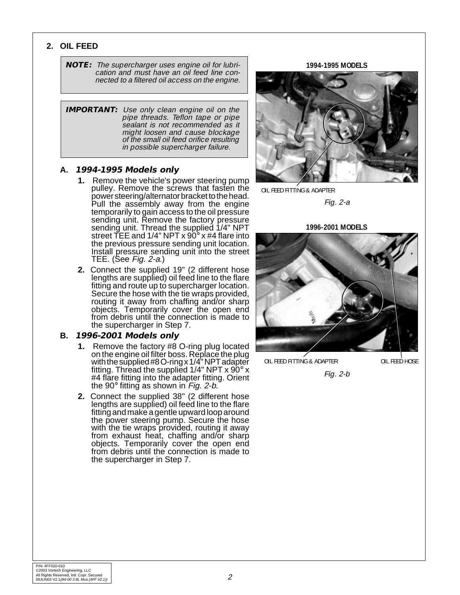### **2. OIL FEED**

**NOTE:** The supercharger uses engine oil for lubrication and must have an oil feed line connected to a filtered oil access on the engine.

**IMPORTANT:** Use only clean engine oil on the pipe threads. Teflon tape or pipe sealant is not recommended as it might loosen and cause blockage of the small oil feed orifice resulting in possible supercharger failure.

#### **A. 1994-1995 Models only**

- **1.** Remove the vehicle's power steering pump pulley. Remove the screws that fasten the power steering/alternator bracket to the head. Pull the assembly away from the engine temporarily to gain access to the oil pressure sending unit. Remove the factory pressure sending unit. Thread the supplied 1/4" NPT street TEE and 1/4" NPT x  $90^{\circ}$  x #4 flare into the previous pressure sending unit location. Install pressure sending unit into the street TEE. (See Fig. 2-a.)
- **2.** Connect the supplied 19" (2 different hose lengths are supplied) oil feed line to the flare fitting and route up to supercharger location. Secure the hose with the tie wraps provided, routing it away from chaffing and/or sharp objects. Temporarily cover the open end from debris until the connection is made to the supercharger in Step 7.

#### **B. 1996-2001 Models only**

- **1.** Remove the factory #8 O-ring plug located on the engine oil filter boss. Replace the plug with the supplied #8 O-ring x 1/4" NPT adapter fitting. Thread the supplied  $1/4$ " NPT x  $90^{\circ}$  x #4 flare fitting into the adapter fitting. Orient the 90° fitting as shown in Fig. 2-b.
- **2.** Connect the supplied 38" (2 different hose lengths are supplied) oil feed line to the flare fitting and make a gentle upward loop around the power steering pump. Secure the hose with the tie wraps provided, routing it away from exhaust heat, chaffing and/or sharp objects. Temporarily cover the open end from debris until the connection is made to the supercharger in Step 7.

#### **1994-1995 MODELS**



OIL FEED FITTING & ADAPTER

Fig. 2-a

**1996-2001 MODELS**



OIL FEED FITTING & ADAPTER OIL FEED HOSE

Fig. 2-b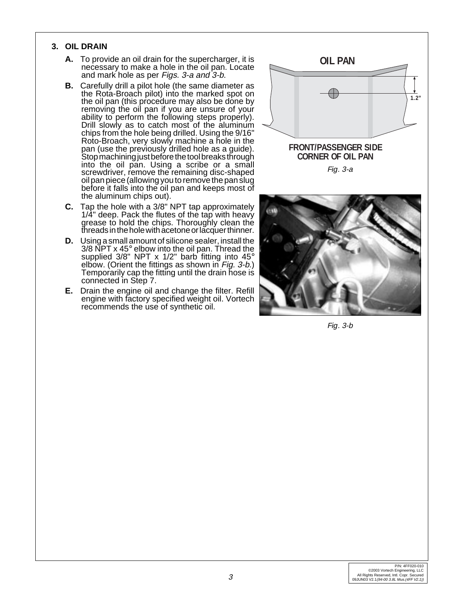#### **3. OIL DRAIN**

- A. To provide an oil drain for the supercharger, it is necessary to make a hole in the oil pan. Locate and mark hole as per Figs. 3-a and 3-b.
- **B.** Carefully drill a pilot hole (the same diameter as the Rota-Broach pilot) into the marked spot on the oil pan (this procedure may also be done by removing the oil pan if you are unsure of your ability to perform the following steps properly). Drill slowly as to catch most of the aluminum chips from the hole being drilled. Using the 9/16" Roto-Broach, very slowly machine a hole in the pan (use the previously drilled hole as a guide). Stop machining just before the tool breaks through into the oil pan. Using a scribe or a small screwdriver, remove the remaining disc-shaped oil pan piece (allowing you to remove the pan slug before it falls into the oil pan and keeps most of the aluminum chips out).
- **C.** Tap the hole with a 3/8" NPT tap approximately 1/4" deep. Pack the flutes of the tap with heavy grease to hold the chips. Thoroughly clean the threads in the hole with acetone or lacquer thinner.
- **D.** Using a small amount of silicone sealer, install the 3/8 NPT x 45° elbow into the oil pan. Thread the supplied  $3/8$ " NPT x  $1/2$ " barb fitting into  $45^\circ$ elbow. (Orient the fittings as shown in  $Fig. 3-b$ .) Temporarily cap the fitting until the drain hose is connected in Step 7.
- **E.** Drain the engine oil and change the filter. Refill engine with factory specified weight oil. Vortech recommends the use of synthetic oil.



Fig. 3-b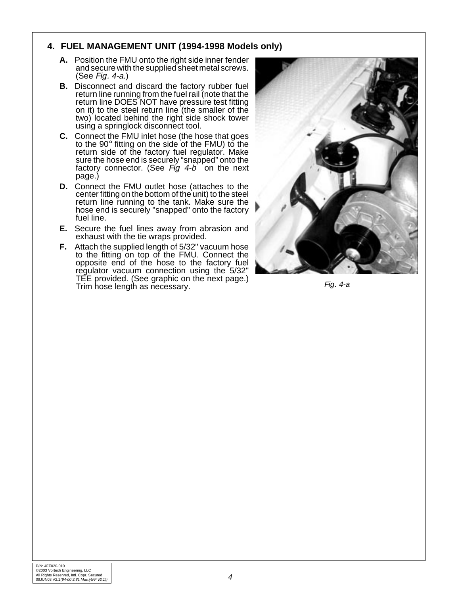# **4. FUEL MANAGEMENT UNIT (1994-1998 Models only)**

- **A.** Position the FMU onto the right side inner fender and secure with the supplied sheet metal screws. (See Fig. 4-a.)
- **B.** Disconnect and discard the factory rubber fuel return line running from the fuel rail (note that the return line DOES NOT have pressure test fitting on it) to the steel return line (the smaller of the two) located behind the right side shock tower using a springlock disconnect tool.
- **C.** Connect the FMU inlet hose (the hose that goes to the 90° fitting on the side of the FMU) to the return side of the factory fuel regulator. Make sure the hose end is securely "snapped" onto the factory connector. (See  $Fig$  4-b on the next page.)
- **D.** Connect the FMU outlet hose (attaches to the center fitting on the bottom of the unit) to the steel return line running to the tank. Make sure the hose end is securely "snapped" onto the factory fuel line.
- **E.** Secure the fuel lines away from abrasion and exhaust with the tie wraps provided.
- **F.** Attach the supplied length of 5/32" vacuum hose to the fitting on top of the FMU. Connect the opposite end of the hose to the factory fuel regulator vacuum connection using the 5/32" TEE provided. (See graphic on the next page.) Trim hose length as necessary.



Fig. 4-a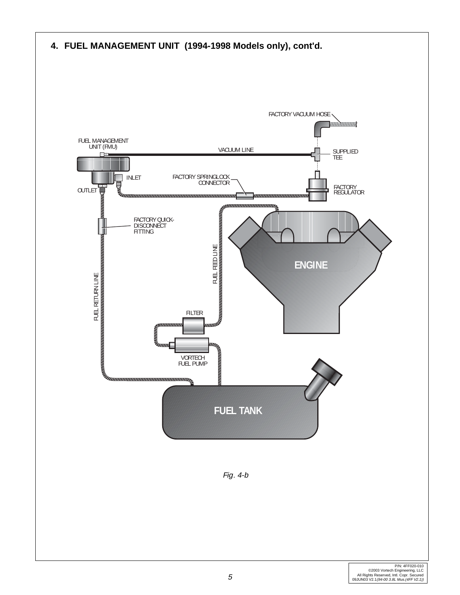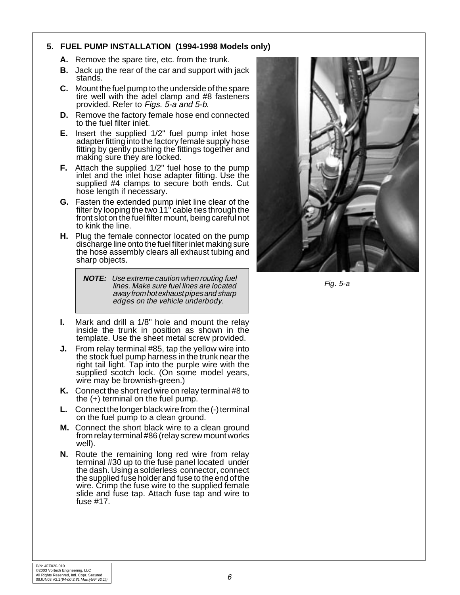### **5. FUEL PUMP INSTALLATION (1994-1998 Models only)**

- **A.** Remove the spare tire, etc. from the trunk.
- **B.** Jack up the rear of the car and support with jack stands.
- **C.** Mount the fuel pump to the underside of the spare tire well with the adel clamp and #8 fasteners provided. Refer to Figs. 5-a and 5-b.
- **D.** Remove the factory female hose end connected to the fuel filter inlet.
- **E.** Insert the supplied 1/2" fuel pump inlet hose adapter fitting into the factory female supply hose fitting by gently pushing the fittings together and making sure they are locked.
- **F.** Attach the supplied 1/2" fuel hose to the pump inlet and the inlet hose adapter fitting. Use the supplied #4 clamps to secure both ends. Cut hose length if necessary.
- **G.** Fasten the extended pump inlet line clear of the filter by looping the two 11" cable ties through the front slot on the fuel filter mount, being careful not to kink the line.
- **H.** Plug the female connector located on the pump discharge line onto the fuel filter inlet making sure the hose assembly clears all exhaust tubing and sharp objects.

**NOTE:** Use extreme caution when routing fuel lines. Make sure fuel lines are located away from hot exhaust pipes and sharp edges on the vehicle underbody.

- **I.** Mark and drill a 1/8" hole and mount the relay inside the trunk in position as shown in the template. Use the sheet metal screw provided.
- **J.** From relay terminal #85, tap the yellow wire into the stock fuel pump harness in the trunk near the right tail light. Tap into the purple wire with the supplied scotch lock. (On some model years, wire may be brownish-green.)
- **K.** Connect the short red wire on relay terminal #8 to the (+) terminal on the fuel pump.
- **L.** Connect the longer black wire from the (-) terminal on the fuel pump to a clean ground.
- **M.** Connect the short black wire to a clean ground from relay terminal #86 (relay screw mount works well).
- **N.** Route the remaining long red wire from relay terminal #30 up to the fuse panel located under the dash. Using a solderless connector, connect the supplied fuse holder and fuse to the end of the wire. Crimp the fuse wire to the supplied female slide and fuse tap. Attach fuse tap and wire to fuse #17.



Fig. 5-a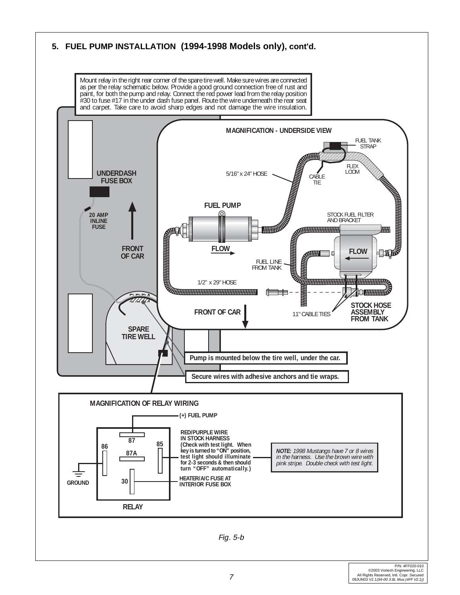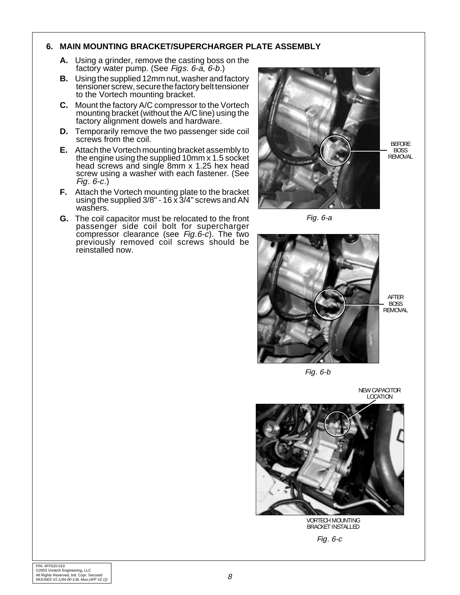### **6. MAIN MOUNTING BRACKET/SUPERCHARGER PLATE ASSEMBLY**

- **A.** Using a grinder, remove the casting boss on the factory water pump. (See Figs. 6-a, 6-b.)
- **B.** Using the supplied 12mm nut, washer and factory tensioner screw, secure the factory belt tensioner to the Vortech mounting bracket.
- **C.** Mount the factory A/C compressor to the Vortech mounting bracket (without the A/C line) using the factory alignment dowels and hardware.
- **D.** Temporarily remove the two passenger side coil screws from the coil.
- **E.** Attach the Vortech mounting bracket assembly to the engine using the supplied 10mm x 1.5 socket head screws and single 8mm x 1.25 hex head screw using a washer with each fastener. (See Fig. 6-c.)
- **F.** Attach the Vortech mounting plate to the bracket using the supplied  $3/8"$  - 16  $\times$  3/4" screws and AN washers.
- **G.** The coil capacitor must be relocated to the front passenger side coil bolt for supercharger compressor clearance (see  $Fig. 6-c$ ). The two previously removed coil screws should be reinstalled now.



Fig. 6-a



Fig. 6-b

NEW CAPACITOR LOCATION



VORTECH MOUNTING BRACKET INSTALLED

Fig. 6-c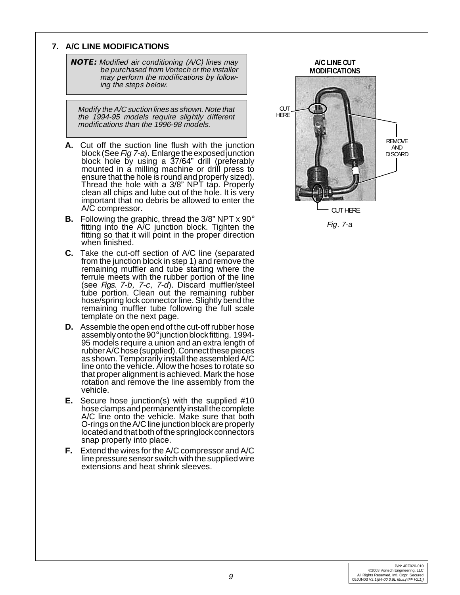# **7. A/C LINE MODIFICATIONS**

**NOTE:** Modified air conditioning (A/C) lines may be purchased from Vortech or the installer may perform the modifications by following the steps below.

Modify the A/C suction lines as shown. Note that the 1994-95 models require slightly different modifications than the 1996-98 models.

- **A.** Cut off the suction line flush with the junction block (See *Fig 7-a*). Enlarge the exposed junction block hole by using a  $37/64$ " drill (preferably mounted in a milling machine or drill press to ensure that the hole is round and properly sized). Thread the hole with a 3/8" NPT tap. Properly clean all chips and lube out of the hole. It is very important that no debris be allowed to enter the A/C compressor.
- **B.** Following the graphic, thread the 3/8" NPT x 90° fitting into the A/C junction block. Tighten the fitting so that it will point in the proper direction when finished.
- **C.** Take the cut-off section of A/C line (separated from the junction block in step 1) and remove the remaining muffler and tube starting where the ferrule meets with the rubber portion of the line (see Figs. 7-b, 7-c, 7-d). Discard muffler/steel tube portion. Clean out the remaining rubber hose/spring lock connector line. Slightly bend the remaining muffler tube following the full scale template on the next page.
- **D.** Assemble the open end of the cut-off rubber hose assembly onto the 90° junction block fitting. 1994- 95 models require a union and an extra length of rubber A/C hose (supplied). Connect these pieces as shown. Temporarily install the assembled A/C line onto the vehicle. Allow the hoses to rotate so that proper alignment is achieved. Mark the hose rotation and remove the line assembly from the vehicle.
- **E.** Secure hose junction(s) with the supplied #10 hose clamps and permanently install the complete A/C line onto the vehicle. Make sure that both O-rings on the A/C line junction block are properly located and that both of the springlock connectors snap properly into place.
- **F.** Extend the wires for the A/C compressor and A/C line pressure sensor switch with the supplied wire extensions and heat shrink sleeves.



Fig. 7-a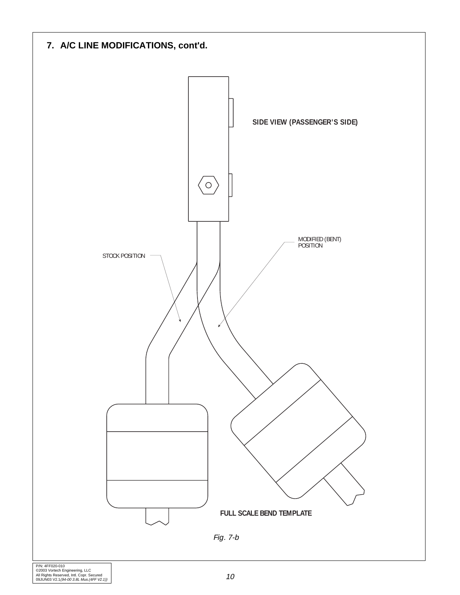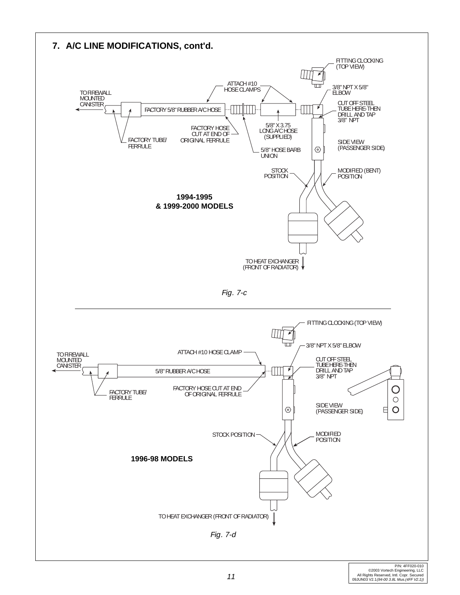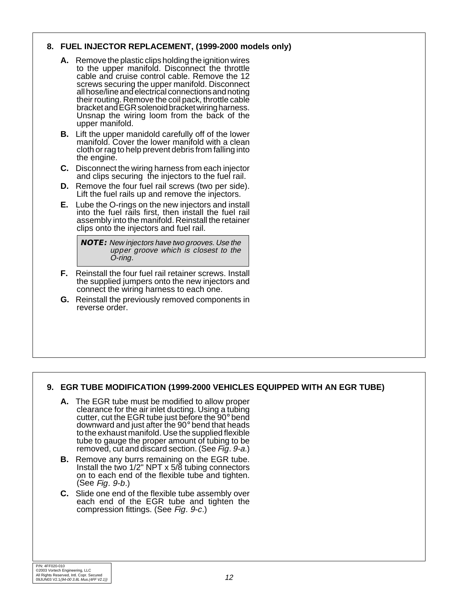## **8. FUEL INJECTOR REPLACEMENT, (1999-2000 models only)**

- **A.** Remove the plastic clips holding the ignition wires to the upper manifold. Disconnect the throttle cable and cruise control cable. Remove the 12 screws securing the upper manifold. Disconnect all hose/line and electrical connections and noting their routing. Remove the coil pack, throttle cable bracket and EGR solenoid bracket wiring harness. Unsnap the wiring loom from the back of the upper manifold.
- **B.** Lift the upper manidold carefully off of the lower manifold. Cover the lower manifold with a clean cloth or rag to help prevent debris from falling into the engine.
- **C.** Disconnect the wiring harness from each injector and clips securing the injectors to the fuel rail.
- **D.** Remove the four fuel rail screws (two per side). Lift the fuel rails up and remove the injectors.
- **E.** Lube the O-rings on the new injectors and install into the fuel rails first, then install the fuel rail assembly into the manifold. Reinstall the retainer clips onto the injectors and fuel rail.

**NOTE:** New injectors have two grooves. Use the upper groove which is closest to the O-ring.

- **F.** Reinstall the four fuel rail retainer screws. Install the supplied jumpers onto the new injectors and connect the wiring harness to each one.
- **G.** Reinstall the previously removed components in reverse order.

# **9. EGR TUBE MODIFICATION (1999-2000 VEHICLES EQUIPPED WITH AN EGR TUBE)**

- **A.** The EGR tube must be modified to allow proper clearance for the air inlet ducting. Using a tubing cutter, cut the EGR tube just before the 90° bend downward and just after the 90° bend that heads to the exhaust manifold. Use the supplied flexible tube to gauge the proper amount of tubing to be removed, cut and discard section. (See Fig. 9-a.)
- **B.** Remove any burrs remaining on the EGR tube. Install the two 1/2" NPT x 5/8 tubing connectors on to each end of the flexible tube and tighten. (See Fig. 9-b.)
- **C.** Slide one end of the flexible tube assembly over each end of the EGR tube and tighten the compression fittings. (See Fig. 9-c.)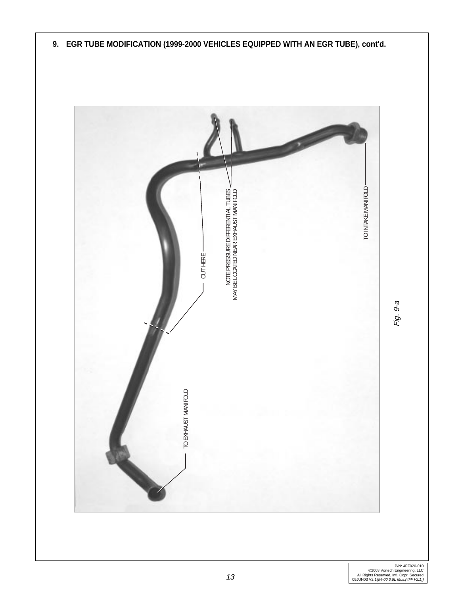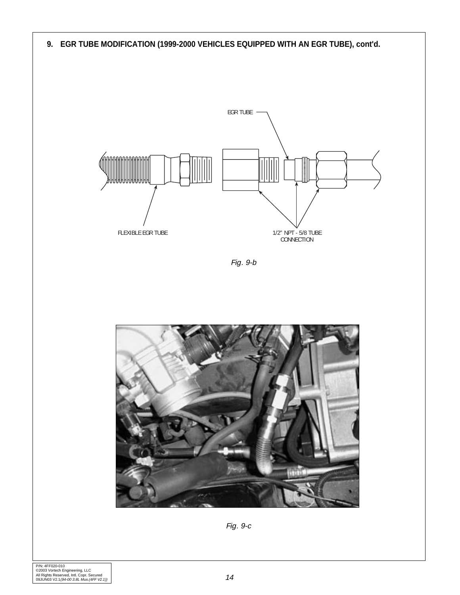

Fig. 9-c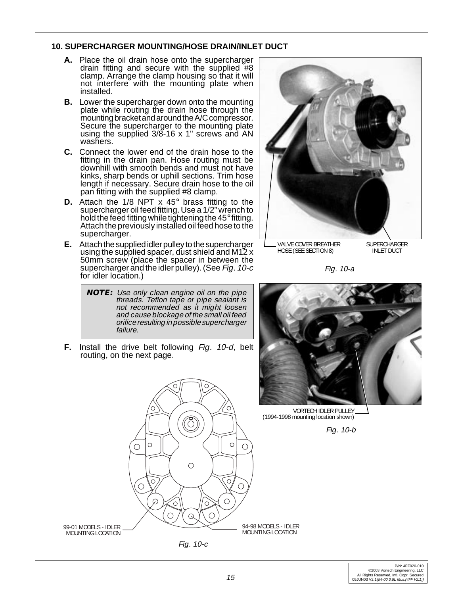## **10. SUPERCHARGER MOUNTING/HOSE DRAIN/INLET DUCT**

- **A.** Place the oil drain hose onto the supercharger drain fitting and secure with the supplied #8 clamp. Arrange the clamp housing so that it will not interfere with the mounting plate when installed.
- **B.** Lower the supercharger down onto the mounting plate while routing the drain hose through the mounting bracket and around the A/C compressor. Secure the supercharger to the mounting plate using the supplied 3/8-16 x 1" screws and AN washers.
- **C.** Connect the lower end of the drain hose to the fitting in the drain pan. Hose routing must be downhill with smooth bends and must not have kinks, sharp bends or uphill sections. Trim hose length if necessary. Secure drain hose to the oil pan fitting with the supplied #8 clamp.
- **D.** Attach the 1/8 NPT x 45° brass fitting to the supercharger oil feed fitting. Use a 1/2" wrench to hold the feed fitting while tightening the 45° fitting. Attach the previously installed oil feed hose to the supercharger.
- **E.** Attach the supplied idler pulley to the supercharger using the supplied spacer, dust shield and M12 x 50mm screw (place the spacer in between the supercharger and the idler pulley). (See Fig. 10-c for idler location.)



Fig. 10-a

**NOTE:** Use only clean engine oil on the pipe threads. Teflon tape or pipe sealant is not recommended as it might loosen and cause blockage of the small oil feed orifice resulting in possible supercharger failure.

**F.** Install the drive belt following Fig. 10-d, belt routing, on the next page.

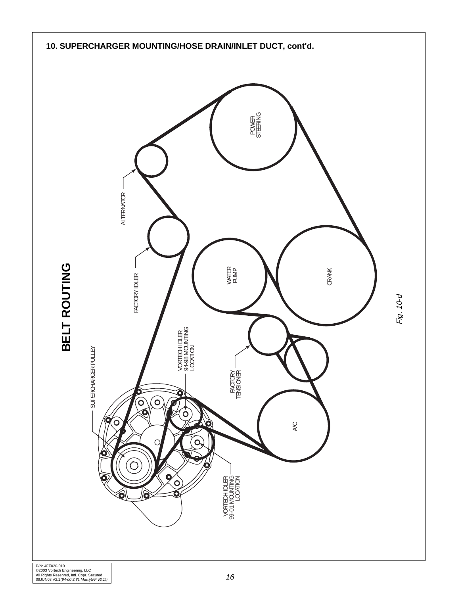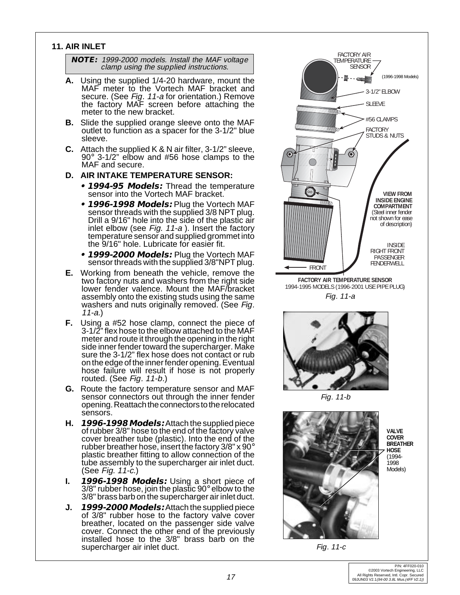## **11. AIR INLET**

**NOTE:** 1999-2000 models. Install the MAF voltage clamp using the supplied instructions.

- **A.** Using the supplied 1/4-20 hardware, mount the MAF meter to the Vortech MAF bracket and secure. (See Fig. 11-a for orientation.) Remove the factory MAF screen before attaching the meter to the new bracket.
- **B.** Slide the supplied orange sleeve onto the MAF outlet to function as a spacer for the 3-1/2" blue sleeve.
- **C.** Attach the supplied K & N air filter, 3-1/2" sleeve, 90° 3-1/2" elbow and #56 hose clamps to the MAF and secure.
- **D. AIR INTAKE TEMPERATURE SENSOR:**
	- **• 1994-95 Models:** Thread the temperature sensor into the Vortech MAF bracket.
	- **• 1996-1998 Models:** Plug the Vortech MAF sensor threads with the supplied 3/8 NPT plug. Drill a 9/16" hole into the side of the plastic air inlet elbow (see *Fig. 11-a*). Insert the factory temperature sensor and supplied grommet into the 9/16" hole. Lubricate for easier fit.
	- 1999-2000 Models: Plug the Vortech MAF sensor threads with the supplied 3/8"NPT plug.
- **E.** Working from beneath the vehicle, remove the two factory nuts and washers from the right side lower fender valence. Mount the MAF/bracket assembly onto the existing studs using the same washers and nuts originally removed. (See Fig. 11-a.)
- **F.** Using a #52 hose clamp, connect the piece of 3-1/2" flex hose to the elbow attached to the MAF meter and route it through the opening in the right side inner fender toward the supercharger. Make sure the 3-1/2" flex hose does not contact or rub on the edge of the inner fender opening. Eventual hose failure will result if hose is not properly routed. (See Fig. 11-b.)
- **G.** Route the factory temperature sensor and MAF sensor connectors out through the inner fender opening. Reattach the connectors to the relocated sensors.
- **H. 1996-1998 Models:** Attach the supplied piece of rubber 3/8" hose to the end of the factory valve cover breather tube (plastic). Into the end of the rubber breather hose, insert the factory 3/8" x 90° plastic breather fitting to allow connection of the tube assembly to the supercharger air inlet duct. (See Fig. 11-c.)
- **I. 1996-1998 Models:** Using a short piece of 3/8" rubber hose, join the plastic 90° elbow to the 3/8" brass barb on the supercharger air inlet duct.
- **J. 1999-2000 Models:** Attach the supplied piece of 3/8" rubber hose to the factory valve cover breather, located on the passenger side valve cover. Connect the other end of the previously installed hose to the 3/8" brass barb on the supercharger air inlet duct.

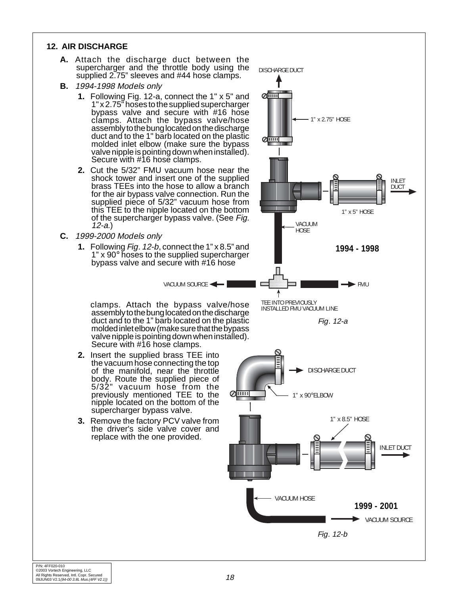### **12. AIR DISCHARGE**

- **A.** Attach the discharge duct between the supercharger and the throttle body using the supplied 2.75" sleeves and #44 hose clamps.
- **B.** 1994-1998 Models only
	- **1.** Following Fig. 12-a, connect the 1" x 5" and 1" x 2.75" hoses to the supplied supercharger bypass valve and secure with #16 hose clamps. Attach the bypass valve/hose assembly to the bung located on the discharge duct and to the 1" barb located on the plastic molded inlet elbow (make sure the bypass valve nipple is pointing down when installed). Secure with #16 hose clamps.
	- **2.** Cut the 5/32" FMU vacuum hose near the shock tower and insert one of the supplied brass TEEs into the hose to allow a branch for the air bypass valve connection. Run the supplied piece of 5/32" vacuum hose from this TEE to the nipple located on the bottom of the supercharger bypass valve. (See Fig. 12-a.)
- **C.** 1999-2000 Models only
	- **1.** Following Fig. 12-b, connect the 1" x 8.5" and 1" x 90° hoses to the supplied supercharger bypass valve and secure with #16 hose

clamps. Attach the bypass valve/hose assembly to the bung located on the discharge duct and to the 1" barb located on the plastic molded inlet elbow (make sure that the bypass valve nipple is pointing down when installed). Secure with #16 hose clamps.

- **2.** Insert the supplied brass TEE into the vacuum hose connecting the top of the manifold, near the throttle body. Route the supplied piece of 5/32" vacuum hose from the previously mentioned TEE to the nipple located on the bottom of the supercharger bypass valve.
- **3.** Remove the factory PCV valve from the driver's side valve cover and replace with the one provided.

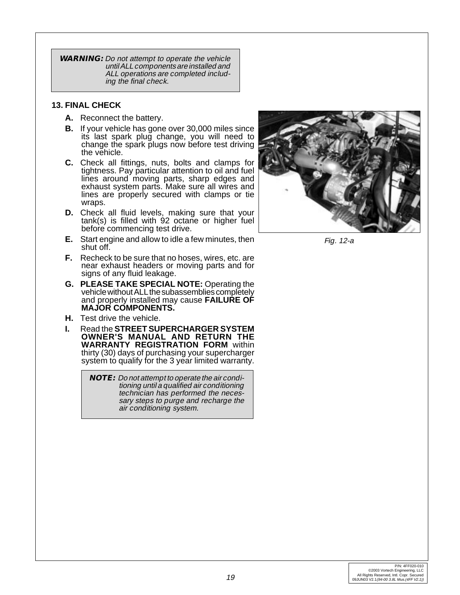**WARNING:** Do not attempt to operate the vehicle until ALL components are installed and ALL operations are completed including the final check.

# **13. FINAL CHECK**

- **A.** Reconnect the battery.
- **B.** If your vehicle has gone over 30,000 miles since its last spark plug change, you will need to change the spark plugs now before test driving the vehicle.
- **C.** Check all fittings, nuts, bolts and clamps for tightness. Pay particular attention to oil and fuel lines around moving parts, sharp edges and exhaust system parts. Make sure all wires and lines are properly secured with clamps or tie wraps.
- **D.** Check all fluid levels, making sure that your tank(s) is filled with 92 octane or higher fuel before commencing test drive.
- **E.** Start engine and allow to idle a few minutes, then shut off.
- **F.** Recheck to be sure that no hoses, wires, etc. are near exhaust headers or moving parts and for signs of any fluid leakage.
- **G. PLEASE TAKE SPECIAL NOTE:** Operating the vehicle without ALL the subassemblies completely and properly installed may cause **FAILURE OF MAJOR COMPONENTS.**
- **H.** Test drive the vehicle.
- **I.** Read the **STREET SUPERCHARGER SYSTEM OWNER'S MANUAL AND RETURN THE WARRANTY REGISTRATION FORM** within thirty (30) days of purchasing your supercharger system to qualify for the 3 year limited warranty.

**NOTE:** Do not attempt to operate the air conditioning until a qualified air conditioning technician has performed the necessary steps to purge and recharge the air conditioning system.



Fig. 12-a